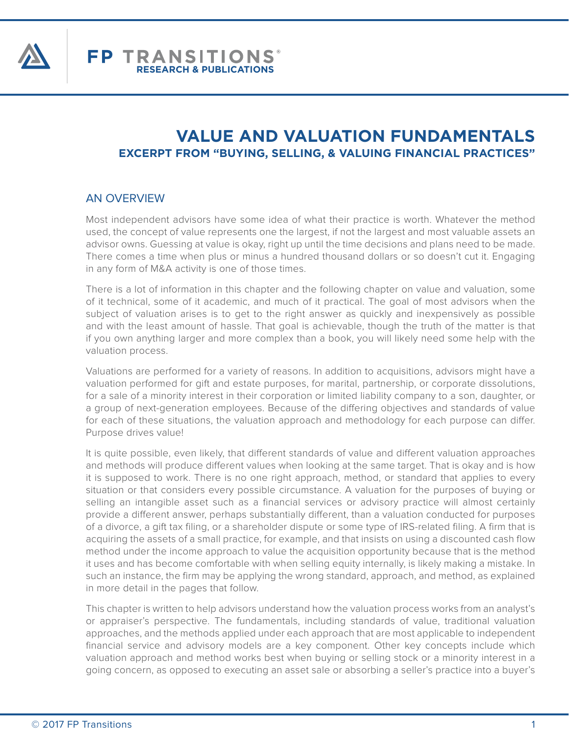

# **VALUE AND VALUATION FUNDAMENTALS EXCERPT FROM "BUYING, SELLING, & VALUING FINANCIAL PRACTICES"**

# AN OVERVIEW

Most independent advisors have some idea of what their practice is worth. Whatever the method used, the concept of value represents one the largest, if not the largest and most valuable assets an advisor owns. Guessing at value is okay, right up until the time decisions and plans need to be made. There comes a time when plus or minus a hundred thousand dollars or so doesn't cut it. Engaging in any form of M&A activity is one of those times.

There is a lot of information in this chapter and the following chapter on value and valuation, some of it technical, some of it academic, and much of it practical. The goal of most advisors when the subject of valuation arises is to get to the right answer as quickly and inexpensively as possible and with the least amount of hassle. That goal is achievable, though the truth of the matter is that if you own anything larger and more complex than a book, you will likely need some help with the valuation process.

Valuations are performed for a variety of reasons. In addition to acquisitions, advisors might have a valuation performed for gift and estate purposes, for marital, partnership, or corporate dissolutions, for a sale of a minority interest in their corporation or limited liability company to a son, daughter, or a group of next-generation employees. Because of the differing objectives and standards of value for each of these situations, the valuation approach and methodology for each purpose can differ. Purpose drives value!

It is quite possible, even likely, that different standards of value and different valuation approaches and methods will produce different values when looking at the same target. That is okay and is how it is supposed to work. There is no one right approach, method, or standard that applies to every situation or that considers every possible circumstance. A valuation for the purposes of buying or selling an intangible asset such as a financial services or advisory practice will almost certainly provide a different answer, perhaps substantially different, than a valuation conducted for purposes of a divorce, a gift tax filing, or a shareholder dispute or some type of IRS-related filing. A firm that is acquiring the assets of a small practice, for example, and that insists on using a discounted cash flow method under the income approach to value the acquisition opportunity because that is the method it uses and has become comfortable with when selling equity internally, is likely making a mistake. In such an instance, the firm may be applying the wrong standard, approach, and method, as explained in more detail in the pages that follow.

This chapter is written to help advisors understand how the valuation process works from an analyst's or appraiser's perspective. The fundamentals, including standards of value, traditional valuation approaches, and the methods applied under each approach that are most applicable to independent financial service and advisory models are a key component. Other key concepts include which valuation approach and method works best when buying or selling stock or a minority interest in a going concern, as opposed to executing an asset sale or absorbing a seller's practice into a buyer's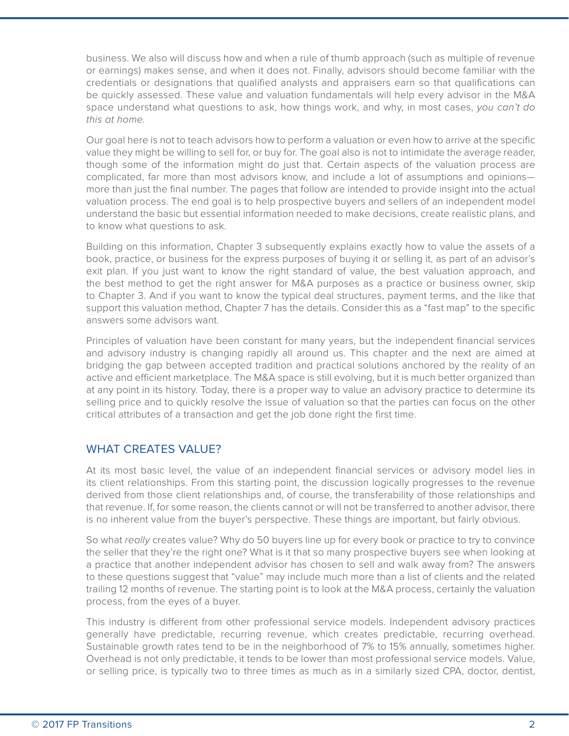business. We also will discuss how and when a rule of thumb approach (such as multiple of revenue or earnings) makes sense, and when it does not. Finally, advisors should become familiar with the credentials or designations that qualified analysts and appraisers earn so that qualifications can be quickly assessed. These value and valuation fundamentals will help every advisor in the M&A space understand what questions to ask, how things work, and why, in most cases, *you can't do this at home.*

Our goal here is not to teach advisors how to perform a valuation or even how to arrive at the specific value they might be willing to sell for, or buy for. The goal also is not to intimidate the average reader, though some of the information might do just that. Certain aspects of the valuation process are complicated, far more than most advisors know, and include a lot of assumptions and opinions more than just the final number. The pages that follow are intended to provide insight into the actual valuation process. The end goal is to help prospective buyers and sellers of an independent model understand the basic but essential information needed to make decisions, create realistic plans, and to know what questions to ask.

Building on this information, Chapter 3 subsequently explains exactly how to value the assets of a book, practice, or business for the express purposes of buying it or selling it, as part of an advisor's exit plan. If you just want to know the right standard of value, the best valuation approach, and the best method to get the right answer for M&A purposes as a practice or business owner, skip to Chapter 3. And if you want to know the typical deal structures, payment terms, and the like that support this valuation method, Chapter 7 has the details. Consider this as a "fast map" to the specific answers some advisors want.

Principles of valuation have been constant for many years, but the independent financial services and advisory industry is changing rapidly all around us. This chapter and the next are aimed at bridging the gap between accepted tradition and practical solutions anchored by the reality of an active and efficient marketplace. The M&A space is still evolving, but it is much better organized than at any point in its history. Today, there is a proper way to value an advisory practice to determine its selling price and to quickly resolve the issue of valuation so that the parties can focus on the other critical attributes of a transaction and get the job done right the first time.

### WHAT CREATES VALUE?

At its most basic level, the value of an independent financial services or advisory model lies in its client relationships. From this starting point, the discussion logically progresses to the revenue derived from those client relationships and, of course, the transferability of those relationships and that revenue. If, for some reason, the clients cannot or will not be transferred to another advisor, there is no inherent value from the buyer's perspective. These things are important, but fairly obvious.

So what *really* creates value? Why do 50 buyers line up for every book or practice to try to convince the seller that they're the right one? What is it that so many prospective buyers see when looking at a practice that another independent advisor has chosen to sell and walk away from? The answers to these questions suggest that "value" may include much more than a list of clients and the related trailing 12 months of revenue. The starting point is to look at the M&A process, certainly the valuation process, from the eyes of a buyer.

This industry is different from other professional service models. Independent advisory practices generally have predictable, recurring revenue, which creates predictable, recurring overhead. Sustainable growth rates tend to be in the neighborhood of 7% to 15% annually, sometimes higher. Overhead is not only predictable, it tends to be lower than most professional service models. Value, or selling price, is typically two to three times as much as in a similarly sized CPA, doctor, dentist,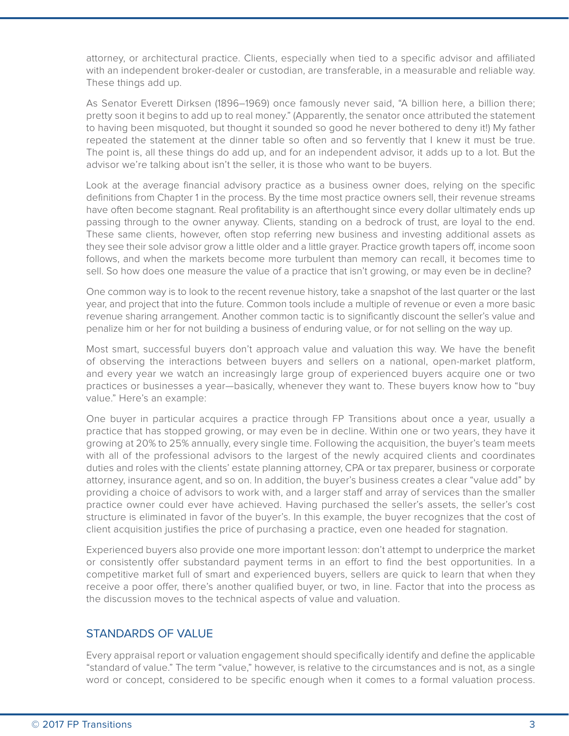attorney, or architectural practice. Clients, especially when tied to a specific advisor and affiliated with an independent broker-dealer or custodian, are transferable, in a measurable and reliable way. These things add up.

As Senator Everett Dirksen (1896–1969) once famously never said, "A billion here, a billion there; pretty soon it begins to add up to real money." (Apparently, the senator once attributed the statement to having been misquoted, but thought it sounded so good he never bothered to deny it!) My father repeated the statement at the dinner table so often and so fervently that I knew it must be true. The point is, all these things do add up, and for an independent advisor, it adds up to a lot. But the advisor we're talking about isn't the seller, it is those who want to be buyers.

Look at the average financial advisory practice as a business owner does, relying on the specific definitions from Chapter 1 in the process. By the time most practice owners sell, their revenue streams have often become stagnant. Real profitability is an afterthought since every dollar ultimately ends up passing through to the owner anyway. Clients, standing on a bedrock of trust, are loyal to the end. These same clients, however, often stop referring new business and investing additional assets as they see their sole advisor grow a little older and a little grayer. Practice growth tapers off, income soon follows, and when the markets become more turbulent than memory can recall, it becomes time to sell. So how does one measure the value of a practice that isn't growing, or may even be in decline?

One common way is to look to the recent revenue history, take a snapshot of the last quarter or the last year, and project that into the future. Common tools include a multiple of revenue or even a more basic revenue sharing arrangement. Another common tactic is to significantly discount the seller's value and penalize him or her for not building a business of enduring value, or for not selling on the way up.

Most smart, successful buyers don't approach value and valuation this way. We have the benefit of observing the interactions between buyers and sellers on a national, open-market platform, and every year we watch an increasingly large group of experienced buyers acquire one or two practices or businesses a year—basically, whenever they want to. These buyers know how to "buy value." Here's an example:

One buyer in particular acquires a practice through FP Transitions about once a year, usually a practice that has stopped growing, or may even be in decline. Within one or two years, they have it growing at 20% to 25% annually, every single time. Following the acquisition, the buyer's team meets with all of the professional advisors to the largest of the newly acquired clients and coordinates duties and roles with the clients' estate planning attorney, CPA or tax preparer, business or corporate attorney, insurance agent, and so on. In addition, the buyer's business creates a clear "value add" by providing a choice of advisors to work with, and a larger staff and array of services than the smaller practice owner could ever have achieved. Having purchased the seller's assets, the seller's cost structure is eliminated in favor of the buyer's. In this example, the buyer recognizes that the cost of client acquisition justifies the price of purchasing a practice, even one headed for stagnation.

Experienced buyers also provide one more important lesson: don't attempt to underprice the market or consistently offer substandard payment terms in an effort to find the best opportunities. In a competitive market full of smart and experienced buyers, sellers are quick to learn that when they receive a poor offer, there's another qualified buyer, or two, in line. Factor that into the process as the discussion moves to the technical aspects of value and valuation.

### STANDARDS OF VALUE

Every appraisal report or valuation engagement should specifically identify and define the applicable "standard of value." The term "value," however, is relative to the circumstances and is not, as a single word or concept, considered to be specific enough when it comes to a formal valuation process.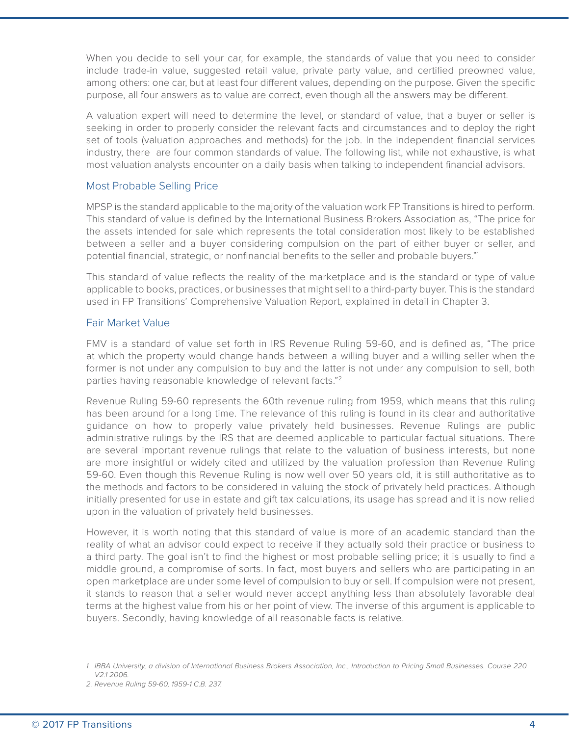When you decide to sell your car, for example, the standards of value that you need to consider include trade-in value, suggested retail value, private party value, and certified preowned value, among others: one car, but at least four different values, depending on the purpose. Given the specific purpose, all four answers as to value are correct, even though all the answers may be different.

A valuation expert will need to determine the level, or standard of value, that a buyer or seller is seeking in order to properly consider the relevant facts and circumstances and to deploy the right set of tools (valuation approaches and methods) for the job. In the independent financial services industry, there are four common standards of value. The following list, while not exhaustive, is what most valuation analysts encounter on a daily basis when talking to independent financial advisors.

#### Most Probable Selling Price

MPSP is the standard applicable to the majority of the valuation work FP Transitions is hired to perform. This standard of value is defined by the International Business Brokers Association as, "The price for the assets intended for sale which represents the total consideration most likely to be established between a seller and a buyer considering compulsion on the part of either buyer or seller, and potential financial, strategic, or nonfinancial benefits to the seller and probable buyers."1

This standard of value reflects the reality of the marketplace and is the standard or type of value applicable to books, practices, or businesses that might sell to a third-party buyer. This is the standard used in FP Transitions' Comprehensive Valuation Report, explained in detail in Chapter 3.

#### Fair Market Value

FMV is a standard of value set forth in IRS Revenue Ruling 59-60, and is defined as, "The price at which the property would change hands between a willing buyer and a willing seller when the former is not under any compulsion to buy and the latter is not under any compulsion to sell, both parties having reasonable knowledge of relevant facts."2

Revenue Ruling 59-60 represents the 60th revenue ruling from 1959, which means that this ruling has been around for a long time. The relevance of this ruling is found in its clear and authoritative guidance on how to properly value privately held businesses. Revenue Rulings are public administrative rulings by the IRS that are deemed applicable to particular factual situations. There are several important revenue rulings that relate to the valuation of business interests, but none are more insightful or widely cited and utilized by the valuation profession than Revenue Ruling 59-60. Even though this Revenue Ruling is now well over 50 years old, it is still authoritative as to the methods and factors to be considered in valuing the stock of privately held practices. Although initially presented for use in estate and gift tax calculations, its usage has spread and it is now relied upon in the valuation of privately held businesses.

However, it is worth noting that this standard of value is more of an academic standard than the reality of what an advisor could expect to receive if they actually sold their practice or business to a third party. The goal isn't to find the highest or most probable selling price; it is usually to find a middle ground, a compromise of sorts. In fact, most buyers and sellers who are participating in an open marketplace are under some level of compulsion to buy or sell. If compulsion were not present, it stands to reason that a seller would never accept anything less than absolutely favorable deal terms at the highest value from his or her point of view. The inverse of this argument is applicable to buyers. Secondly, having knowledge of all reasonable facts is relative.

*<sup>1.</sup> IBBA University, a division of International Business Brokers Association, Inc., Introduction to Pricing Small Businesses. Course 220 V2.1 2006.*

*<sup>2.</sup> Revenue Ruling 59-60, 1959-1 C.B. 237.*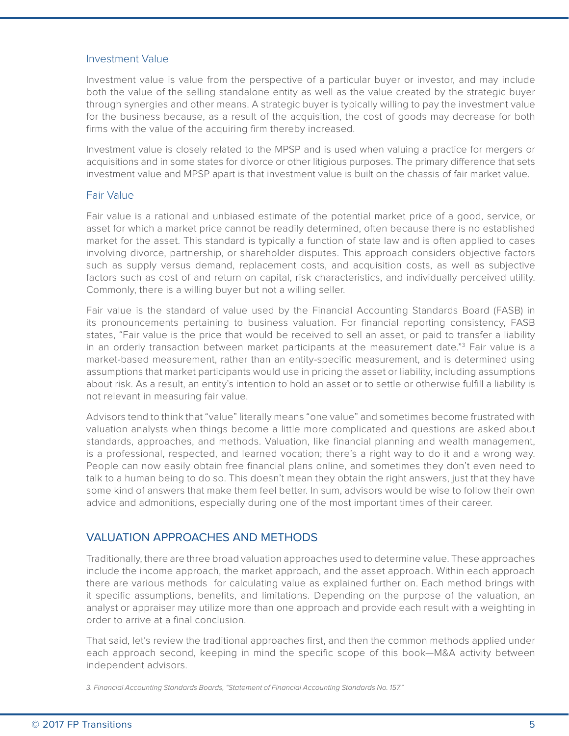#### Investment Value

Investment value is value from the perspective of a particular buyer or investor, and may include both the value of the selling standalone entity as well as the value created by the strategic buyer through synergies and other means. A strategic buyer is typically willing to pay the investment value for the business because, as a result of the acquisition, the cost of goods may decrease for both firms with the value of the acquiring firm thereby increased.

Investment value is closely related to the MPSP and is used when valuing a practice for mergers or acquisitions and in some states for divorce or other litigious purposes. The primary difference that sets investment value and MPSP apart is that investment value is built on the chassis of fair market value.

#### Fair Value

Fair value is a rational and unbiased estimate of the potential market price of a good, service, or asset for which a market price cannot be readily determined, often because there is no established market for the asset. This standard is typically a function of state law and is often applied to cases involving divorce, partnership, or shareholder disputes. This approach considers objective factors such as supply versus demand, replacement costs, and acquisition costs, as well as subjective factors such as cost of and return on capital, risk characteristics, and individually perceived utility. Commonly, there is a willing buyer but not a willing seller.

Fair value is the standard of value used by the Financial Accounting Standards Board (FASB) in its pronouncements pertaining to business valuation. For financial reporting consistency, FASB states, "Fair value is the price that would be received to sell an asset, or paid to transfer a liability in an orderly transaction between market participants at the measurement date."<sup>3</sup> Fair value is a market-based measurement, rather than an entity-specific measurement, and is determined using assumptions that market participants would use in pricing the asset or liability, including assumptions about risk. As a result, an entity's intention to hold an asset or to settle or otherwise fulfill a liability is not relevant in measuring fair value.

Advisors tend to think that "value" literally means "one value" and sometimes become frustrated with valuation analysts when things become a little more complicated and questions are asked about standards, approaches, and methods. Valuation, like financial planning and wealth management, is a professional, respected, and learned vocation; there's a right way to do it and a wrong way. People can now easily obtain free financial plans online, and sometimes they don't even need to talk to a human being to do so. This doesn't mean they obtain the right answers, just that they have some kind of answers that make them feel better. In sum, advisors would be wise to follow their own advice and admonitions, especially during one of the most important times of their career.

### VALUATION APPROACHES AND METHODS

Traditionally, there are three broad valuation approaches used to determine value. These approaches include the income approach, the market approach, and the asset approach. Within each approach there are various methods for calculating value as explained further on. Each method brings with it specific assumptions, benefits, and limitations. Depending on the purpose of the valuation, an analyst or appraiser may utilize more than one approach and provide each result with a weighting in order to arrive at a final conclusion.

That said, let's review the traditional approaches first, and then the common methods applied under each approach second, keeping in mind the specific scope of this book—M&A activity between independent advisors.

*3. Financial Accounting Standards Boards, "Statement of Financial Accounting Standards No. 157."*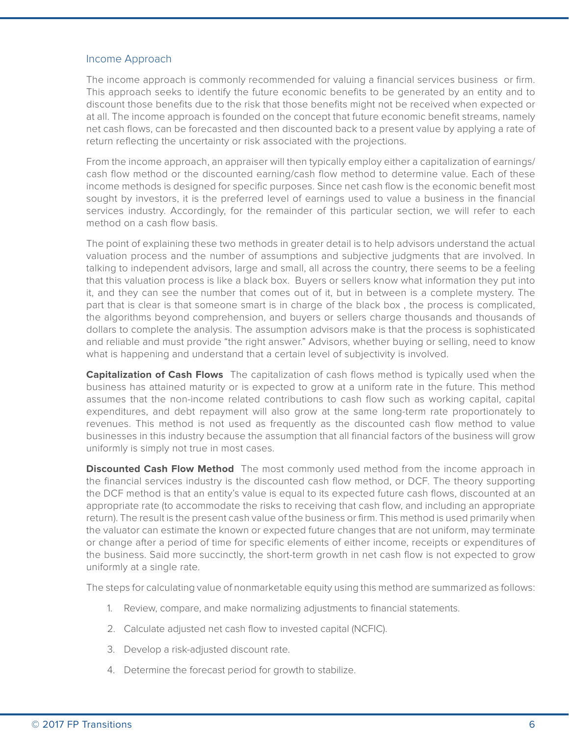#### Income Approach

The income approach is commonly recommended for valuing a financial services business or firm. This approach seeks to identify the future economic benefits to be generated by an entity and to discount those benefits due to the risk that those benefits might not be received when expected or at all. The income approach is founded on the concept that future economic benefit streams, namely net cash flows, can be forecasted and then discounted back to a present value by applying a rate of return reflecting the uncertainty or risk associated with the projections.

From the income approach, an appraiser will then typically employ either a capitalization of earnings/ cash flow method or the discounted earning/cash flow method to determine value. Each of these income methods is designed for specific purposes. Since net cash flow is the economic benefit most sought by investors, it is the preferred level of earnings used to value a business in the financial services industry. Accordingly, for the remainder of this particular section, we will refer to each method on a cash flow basis.

The point of explaining these two methods in greater detail is to help advisors understand the actual valuation process and the number of assumptions and subjective judgments that are involved. In talking to independent advisors, large and small, all across the country, there seems to be a feeling that this valuation process is like a black box. Buyers or sellers know what information they put into it, and they can see the number that comes out of it, but in between is a complete mystery. The part that is clear is that someone smart is in charge of the black box , the process is complicated, the algorithms beyond comprehension, and buyers or sellers charge thousands and thousands of dollars to complete the analysis. The assumption advisors make is that the process is sophisticated and reliable and must provide "the right answer." Advisors, whether buying or selling, need to know what is happening and understand that a certain level of subjectivity is involved.

**Capitalization of Cash Flows** The capitalization of cash flows method is typically used when the business has attained maturity or is expected to grow at a uniform rate in the future. This method assumes that the non-income related contributions to cash flow such as working capital, capital expenditures, and debt repayment will also grow at the same long-term rate proportionately to revenues. This method is not used as frequently as the discounted cash flow method to value businesses in this industry because the assumption that all financial factors of the business will grow uniformly is simply not true in most cases.

**Discounted Cash Flow Method** The most commonly used method from the income approach in the financial services industry is the discounted cash flow method, or DCF. The theory supporting the DCF method is that an entity's value is equal to its expected future cash flows, discounted at an appropriate rate (to accommodate the risks to receiving that cash flow, and including an appropriate return). The result is the present cash value of the business or firm. This method is used primarily when the valuator can estimate the known or expected future changes that are not uniform, may terminate or change after a period of time for specific elements of either income, receipts or expenditures of the business. Said more succinctly, the short-term growth in net cash flow is not expected to grow uniformly at a single rate.

The steps for calculating value of nonmarketable equity using this method are summarized as follows:

- 1. Review, compare, and make normalizing adjustments to financial statements.
- 2. Calculate adjusted net cash flow to invested capital (NCFIC).
- 3. Develop a risk-adjusted discount rate.
- 4. Determine the forecast period for growth to stabilize.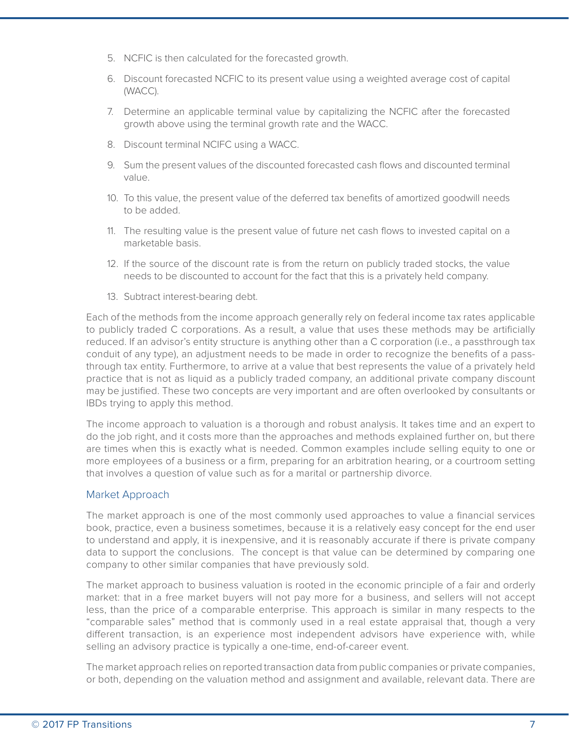- 5. NCFIC is then calculated for the forecasted growth.
- 6. Discount forecasted NCFIC to its present value using a weighted average cost of capital (WACC).
- 7. Determine an applicable terminal value by capitalizing the NCFIC after the forecasted growth above using the terminal growth rate and the WACC.
- 8. Discount terminal NCIFC using a WACC.
- 9. Sum the present values of the discounted forecasted cash flows and discounted terminal value.
- 10. To this value, the present value of the deferred tax benefits of amortized goodwill needs to be added.
- 11. The resulting value is the present value of future net cash flows to invested capital on a marketable basis.
- 12. If the source of the discount rate is from the return on publicly traded stocks, the value needs to be discounted to account for the fact that this is a privately held company.
- 13. Subtract interest-bearing debt.

Each of the methods from the income approach generally rely on federal income tax rates applicable to publicly traded C corporations. As a result, a value that uses these methods may be artificially reduced. If an advisor's entity structure is anything other than a C corporation (i.e., a passthrough tax conduit of any type), an adjustment needs to be made in order to recognize the benefits of a passthrough tax entity. Furthermore, to arrive at a value that best represents the value of a privately held practice that is not as liquid as a publicly traded company, an additional private company discount may be justified. These two concepts are very important and are often overlooked by consultants or IBDs trying to apply this method.

The income approach to valuation is a thorough and robust analysis. It takes time and an expert to do the job right, and it costs more than the approaches and methods explained further on, but there are times when this is exactly what is needed. Common examples include selling equity to one or more employees of a business or a firm, preparing for an arbitration hearing, or a courtroom setting that involves a question of value such as for a marital or partnership divorce.

#### Market Approach

The market approach is one of the most commonly used approaches to value a financial services book, practice, even a business sometimes, because it is a relatively easy concept for the end user to understand and apply, it is inexpensive, and it is reasonably accurate if there is private company data to support the conclusions. The concept is that value can be determined by comparing one company to other similar companies that have previously sold.

The market approach to business valuation is rooted in the economic principle of a fair and orderly market: that in a free market buyers will not pay more for a business, and sellers will not accept less, than the price of a comparable enterprise. This approach is similar in many respects to the "comparable sales" method that is commonly used in a real estate appraisal that, though a very different transaction, is an experience most independent advisors have experience with, while selling an advisory practice is typically a one-time, end-of-career event.

The market approach relies on reported transaction data from public companies or private companies, or both, depending on the valuation method and assignment and available, relevant data. There are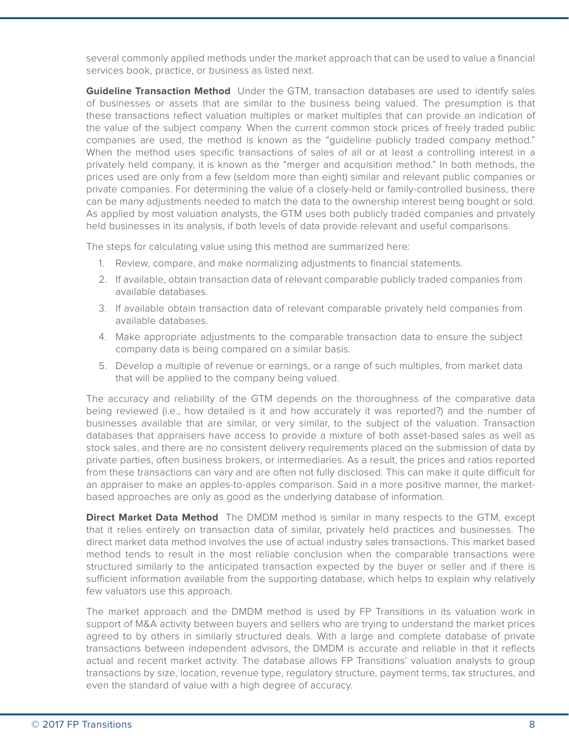several commonly applied methods under the market approach that can be used to value a financial services book, practice, or business as listed next.

**Guideline Transaction Method** Under the GTM, transaction databases are used to identify sales of businesses or assets that are similar to the business being valued. The presumption is that these transactions reflect valuation multiples or market multiples that can provide an indication of the value of the subject company. When the current common stock prices of freely traded public companies are used, the method is known as the "guideline publicly traded company method." When the method uses specific transactions of sales of all or at least a controlling interest in a privately held company, it is known as the "merger and acquisition method." In both methods, the prices used are only from a few (seldom more than eight) similar and relevant public companies or private companies. For determining the value of a closely-held or family-controlled business, there can be many adjustments needed to match the data to the ownership interest being bought or sold. As applied by most valuation analysts, the GTM uses both publicly traded companies and privately held businesses in its analysis, if both levels of data provide relevant and useful comparisons.

The steps for calculating value using this method are summarized here:

- 1. Review, compare, and make normalizing adjustments to financial statements.
- 2. If available, obtain transaction data of relevant comparable publicly traded companies from available databases.
- 3. If available obtain transaction data of relevant comparable privately held companies from available databases.
- 4. Make appropriate adjustments to the comparable transaction data to ensure the subject company data is being compared on a similar basis.
- 5. Develop a multiple of revenue or earnings, or a range of such multiples, from market data that will be applied to the company being valued.

The accuracy and reliability of the GTM depends on the thoroughness of the comparative data being reviewed (i.e., how detailed is it and how accurately it was reported?) and the number of businesses available that are similar, or very similar, to the subject of the valuation. Transaction databases that appraisers have access to provide a mixture of both asset-based sales as well as stock sales, and there are no consistent delivery requirements placed on the submission of data by private parties, often business brokers, or intermediaries. As a result, the prices and ratios reported from these transactions can vary and are often not fully disclosed. This can make it quite difficult for an appraiser to make an apples-to-apples comparison. Said in a more positive manner, the marketbased approaches are only as good as the underlying database of information.

**Direct Market Data Method** The DMDM method is similar in many respects to the GTM, except that it relies entirely on transaction data of similar, privately held practices and businesses. The direct market data method involves the use of actual industry sales transactions. This market based method tends to result in the most reliable conclusion when the comparable transactions were structured similarly to the anticipated transaction expected by the buyer or seller and if there is sufficient information available from the supporting database, which helps to explain why relatively few valuators use this approach.

The market approach and the DMDM method is used by FP Transitions in its valuation work in support of M&A activity between buyers and sellers who are trying to understand the market prices agreed to by others in similarly structured deals. With a large and complete database of private transactions between independent advisors, the DMDM is accurate and reliable in that it reflects actual and recent market activity. The database allows FP Transitions' valuation analysts to group transactions by size, location, revenue type, regulatory structure, payment terms, tax structures, and even the standard of value with a high degree of accuracy.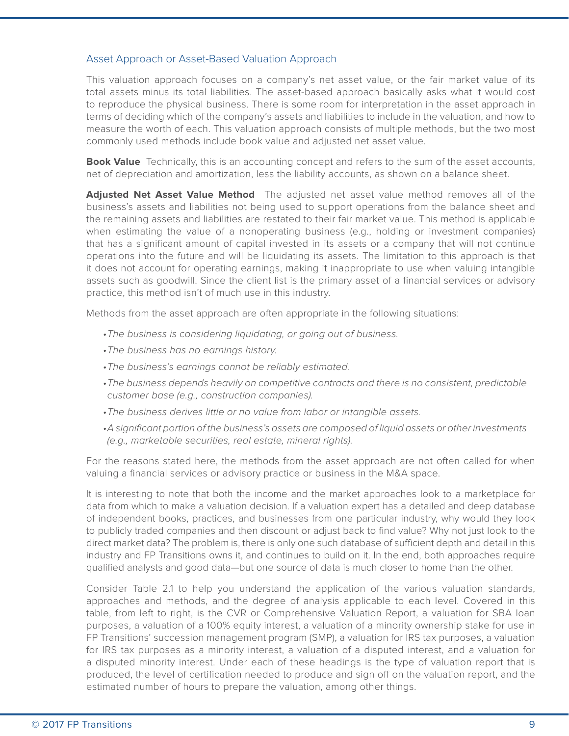#### Asset Approach or Asset-Based Valuation Approach

This valuation approach focuses on a company's net asset value, or the fair market value of its total assets minus its total liabilities. The asset-based approach basically asks what it would cost to reproduce the physical business. There is some room for interpretation in the asset approach in terms of deciding which of the company's assets and liabilities to include in the valuation, and how to measure the worth of each. This valuation approach consists of multiple methods, but the two most commonly used methods include book value and adjusted net asset value.

**Book Value** Technically, this is an accounting concept and refers to the sum of the asset accounts, net of depreciation and amortization, less the liability accounts, as shown on a balance sheet.

**Adjusted Net Asset Value Method** The adjusted net asset value method removes all of the business's assets and liabilities not being used to support operations from the balance sheet and the remaining assets and liabilities are restated to their fair market value. This method is applicable when estimating the value of a nonoperating business (e.g., holding or investment companies) that has a significant amount of capital invested in its assets or a company that will not continue operations into the future and will be liquidating its assets. The limitation to this approach is that it does not account for operating earnings, making it inappropriate to use when valuing intangible assets such as goodwill. Since the client list is the primary asset of a financial services or advisory practice, this method isn't of much use in this industry.

Methods from the asset approach are often appropriate in the following situations:

- *•The business is considering liquidating, or going out of business.*
- *•The business has no earnings history.*
- *•The business's earnings cannot be reliably estimated.*
- *•The business depends heavily on competitive contracts and there is no consistent, predictable customer base (e.g., construction companies).*
- *•The business derives little or no value from labor or intangible assets.*
- *•A significant portion of the business's assets are composed of liquid assets or other investments (e.g., marketable securities, real estate, mineral rights).*

For the reasons stated here, the methods from the asset approach are not often called for when valuing a financial services or advisory practice or business in the M&A space.

It is interesting to note that both the income and the market approaches look to a marketplace for data from which to make a valuation decision. If a valuation expert has a detailed and deep database of independent books, practices, and businesses from one particular industry, why would they look to publicly traded companies and then discount or adjust back to find value? Why not just look to the direct market data? The problem is, there is only one such database of sufficient depth and detail in this industry and FP Transitions owns it, and continues to build on it. In the end, both approaches require qualified analysts and good data—but one source of data is much closer to home than the other.

Consider Table 2.1 to help you understand the application of the various valuation standards, approaches and methods, and the degree of analysis applicable to each level. Covered in this table, from left to right, is the CVR or Comprehensive Valuation Report, a valuation for SBA loan purposes, a valuation of a 100% equity interest, a valuation of a minority ownership stake for use in FP Transitions' succession management program (SMP), a valuation for IRS tax purposes, a valuation for IRS tax purposes as a minority interest, a valuation of a disputed interest, and a valuation for a disputed minority interest. Under each of these headings is the type of valuation report that is produced, the level of certification needed to produce and sign off on the valuation report, and the estimated number of hours to prepare the valuation, among other things.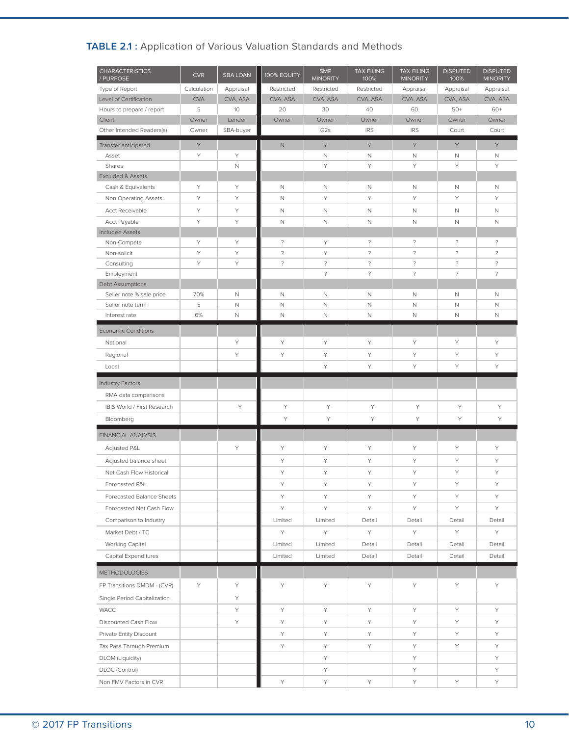# **TABLE 2.1 :** Application of Various Valuation Standards and Methods

| <b>CHARACTERISTICS</b><br>/ PURPOSE | <b>CVR</b>  | <b>SBA LOAN</b> | 100% EQUITY                       | <b>SMP</b><br><b>MINORITY</b> | <b>TAX FILING</b><br>100% | <b>TAX FILING</b><br><b>MINORITY</b> | <b>DISPUTED</b><br>100%  | <b>DISPUTED</b><br><b>MINORITY</b> |
|-------------------------------------|-------------|-----------------|-----------------------------------|-------------------------------|---------------------------|--------------------------------------|--------------------------|------------------------------------|
| Type of Report                      | Calculation | Appraisal       | Restricted                        | Restricted                    | Restricted                | Appraisal                            | Appraisal                | Appraisal                          |
| Level of Certification              | <b>CVA</b>  | CVA, ASA        | CVA, ASA                          | CVA, ASA                      | CVA, ASA                  | CVA, ASA                             | CVA, ASA                 | CVA, ASA                           |
| Hours to prepare / report           | 5           | 10              | 20                                | 30                            | 40                        | 60                                   | $50+$                    | 60+                                |
| Client                              | Owner       | Lender          | Owner                             | Owner                         | Owner                     | Owner                                | Owner                    | Owner                              |
| Other Intended Readers(s)           | Owner       | SBA-buyer       |                                   | G <sub>2s</sub>               | <b>IRS</b>                | <b>IRS</b>                           | Court                    | Court                              |
| Transfer anticipated                | Υ           |                 | $\mathsf N$                       | Y                             | Υ                         | Υ                                    | Y                        | Y                                  |
| Asset                               | Υ           | Υ               |                                   | $\mathbb N$                   | Ν                         | $\hbox{N}$                           | $\hbox{N}$               | $\hbox{N}$                         |
| Shares                              |             | $\mathsf N$     |                                   | Υ                             | Υ                         | Υ                                    | Υ                        | Υ                                  |
| Excluded & Assets                   |             |                 |                                   |                               |                           |                                      |                          |                                    |
| Cash & Equivalents                  | Υ           | Υ               | Ν                                 | Ν                             | N                         | Ν                                    | N                        | Ν                                  |
| Non Operating Assets                | Υ           | Υ               | N                                 | Υ                             | Υ                         | Υ                                    | Υ                        | Υ                                  |
| <b>Acct Receivable</b>              | Υ           | Υ               | Ν                                 | $\mathbb N$                   | $\mathbb N$               | $\mathbb N$                          | N                        | Ν                                  |
| Acct Payable                        | Υ           | Υ               | Ν                                 | Ν                             | $\mathbb N$               | $\mathbb N$                          | $\mathbb N$              | $\hbox{N}$                         |
| <b>Included Assets</b>              |             |                 |                                   |                               |                           |                                      |                          |                                    |
| Non-Compete<br>Non-solicit          | Υ<br>Υ      | Υ<br>Υ          | $\tilde{?}$<br>$\overline{\cdot}$ | Υ<br>Υ                        | $\ddot{?}$<br>$\ddot{?}$  | $\ddot{?}$<br>$\overline{\cdot}$     | $\ddot{?}$<br>$\ddot{?}$ | $\ddot{?}$<br>$\tilde{?}$          |
| Consulting                          | Υ           | Υ               | $\tilde{?}$                       | $\ddot{?}$                    | $\tilde{?}$               | $\ddot{?}$                           | $\ddot{?}$               | $\ddot{?}$                         |
| Employment                          |             |                 |                                   | $\ddot{?}$                    | $\tilde{?}$               | $\ddot{?}$                           | $\ddot{?}$               | $\tilde{?}$                        |
| Debt Assumptions                    |             |                 |                                   |                               |                           |                                      |                          |                                    |
| Seller note % sale price            | 70%         | N               | N                                 | N                             | N                         | $\mathbb N$                          | N                        | $\mathsf N$                        |
| Seller note term                    | 5           | N               | Ν                                 | $\mathbb N$                   | Ν                         | $\mathbb N$                          | $\mathsf{N}$             | Ν                                  |
| Interest rate                       | 6%          | $\mathbb N$     | N                                 | Ν                             | Ν                         | Ν                                    | $\mathsf{N}$             | Ν                                  |
| <b>Economic Conditions</b>          |             |                 |                                   |                               |                           |                                      |                          |                                    |
| National                            |             | Υ               | Υ                                 | Υ                             | Υ                         | Υ                                    | Υ                        | Υ                                  |
| Regional                            |             | Υ               | Υ                                 | Υ                             | Υ                         | Υ                                    | Υ                        | Υ                                  |
| Local                               |             |                 |                                   | Υ                             | Υ                         | Υ                                    | Υ                        | Υ                                  |
|                                     |             |                 |                                   |                               |                           |                                      |                          |                                    |
|                                     |             |                 |                                   |                               |                           |                                      |                          |                                    |
| <b>Industry Factors</b>             |             |                 |                                   |                               |                           |                                      |                          |                                    |
| RMA data comparisons                |             |                 |                                   |                               |                           |                                      |                          |                                    |
| IBIS World / First Research         |             | Υ               | Υ                                 | Υ                             | Υ                         | Υ                                    | Υ                        | Υ                                  |
| Bloomberg                           |             |                 | Y                                 | Υ                             | Υ                         | Υ                                    | Υ                        | Υ                                  |
| <b>FINANCIAL ANALYSIS</b>           |             |                 |                                   |                               |                           |                                      |                          |                                    |
| Adjusted P&L                        |             | Υ               | Υ                                 | Υ                             | Υ                         | Υ                                    | Υ                        | Υ                                  |
| Adjusted balance sheet              |             |                 | Υ                                 | Υ                             | Υ                         | Υ                                    | Υ                        | Υ                                  |
| Net Cash Flow Historical            |             |                 | Υ                                 | Υ                             | Υ                         | Υ                                    | Υ                        | Υ                                  |
| Forecasted P&L                      |             |                 | Υ                                 | Υ                             | Υ                         | Υ                                    | Υ                        | Υ                                  |
| Forecasted Balance Sheets           |             |                 | Υ                                 | Υ                             | Υ                         | Υ                                    | Y                        | Y                                  |
| Forecasted Net Cash Flow            |             |                 | Y                                 | Υ                             | Υ                         | Y                                    | Y                        | Y                                  |
|                                     |             |                 | Limited                           |                               |                           |                                      |                          |                                    |
| Comparison to Industry              |             |                 |                                   | Limited                       | Detail                    | Detail                               | Detail                   | Detail                             |
| Market Debt / TC                    |             |                 | Y                                 | Υ                             | Y                         | Y.                                   | Y.                       | Y.                                 |
| Working Capital                     |             |                 | Limited                           | Limited                       | Detail                    | Detail                               | Detail                   | Detail                             |
| Capital Expenditures                |             |                 | Limited                           | Limited                       | Detail                    | Detail                               | Detail                   | Detail                             |
| <b>METHODOLOGIES</b>                |             |                 |                                   |                               |                           |                                      |                          |                                    |
| FP Transitions DMDM - (CVR)         | Υ           | Υ               | Υ                                 | Y                             | Υ                         | Y                                    | Y                        | Y                                  |
| Single Period Capitalization        |             | Υ               |                                   |                               |                           |                                      |                          |                                    |
| <b>WACC</b>                         |             | Υ               | Υ                                 | Υ                             | Υ                         | Υ                                    | Y                        | Y                                  |
| Discounted Cash Flow                |             | Υ               | Υ                                 | Υ                             | Υ                         | Y                                    | Y                        | Y                                  |
| Private Entity Discount             |             |                 | Υ                                 | Υ                             | Υ                         | Y                                    | Y                        | Y                                  |
| Tax Pass Through Premium            |             |                 | Y                                 | Υ                             | Υ                         | Y                                    | Y                        | Y                                  |
| DLOM (Liquidity)                    |             |                 |                                   | Υ                             |                           | Y                                    |                          | Y                                  |
| DLOC (Control)                      |             |                 |                                   | Υ                             |                           | Y                                    |                          | Y                                  |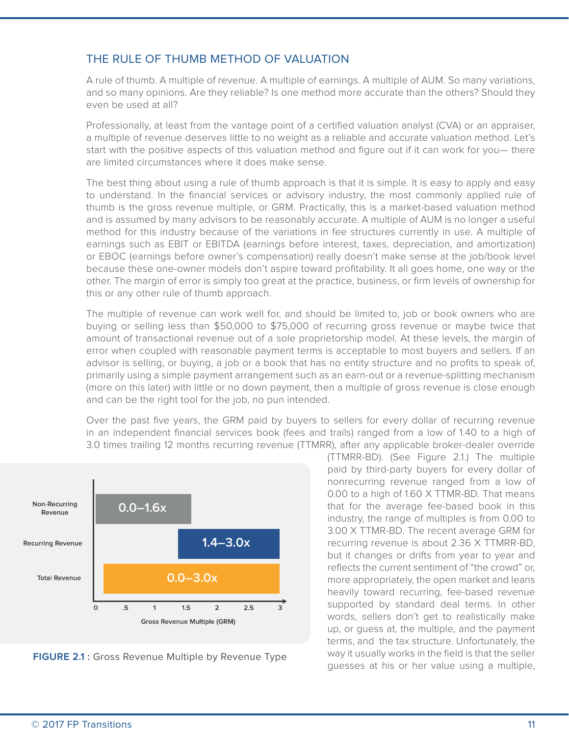# THE RULE OF THUMB METHOD OF VALUATION

A rule of thumb. A multiple of revenue. A multiple of earnings. A multiple of AUM. So many variations, and so many opinions. Are they reliable? Is one method more accurate than the others? Should they even be used at all?

Professionally, at least from the vantage point of a certified valuation analyst (CVA) or an appraiser, a multiple of revenue deserves little to no weight as a reliable and accurate valuation method. Let's start with the positive aspects of this valuation method and figure out if it can work for you— there are limited circumstances where it does make sense.

The best thing about using a rule of thumb approach is that it is simple. It is easy to apply and easy to understand. In the financial services or advisory industry, the most commonly applied rule of thumb is the gross revenue multiple, or GRM. Practically, this is a market-based valuation method and is assumed by many advisors to be reasonably accurate. A multiple of AUM is no longer a useful method for this industry because of the variations in fee structures currently in use. A multiple of earnings such as EBIT or EBITDA (earnings before interest, taxes, depreciation, and amortization) or EBOC (earnings before owner's compensation) really doesn't make sense at the job/book level because these one-owner models don't aspire toward profitability. It all goes home, one way or the other. The margin of error is simply too great at the practice, business, or firm levels of ownership for this or any other rule of thumb approach.

The multiple of revenue can work well for, and should be limited to, job or book owners who are buying or selling less than \$50,000 to \$75,000 of recurring gross revenue or maybe twice that amount of transactional revenue out of a sole proprietorship model. At these levels, the margin of error when coupled with reasonable payment terms is acceptable to most buyers and sellers. If an advisor is selling, or buying, a job or a book that has no entity structure and no profits to speak of, primarily using a simple payment arrangement such as an earn-out or a revenue-splitting mechanism (more on this later) with little or no down payment, then a multiple of gross revenue is close enough and can be the right tool for the job, no pun intended.

Over the past five years, the GRM paid by buyers to sellers for every dollar of recurring revenue in an independent financial services book (fees and trails) ranged from a low of 1.40 to a high of 3.0 times trailing 12 months recurring revenue (TTMRR), after any applicable broker-dealer override



**FIGURE 2.1 :** Gross Revenue Multiple by Revenue Type

(TTMRR-BD). (See Figure 2.1.) The multiple paid by third-party buyers for every dollar of nonrecurring revenue ranged from a low of 0.00 to a high of 1.60 X TTMR-BD. That means that for the average fee-based book in this industry, the range of multiples is from 0.00 to 3.00 X TTMR-BD. The recent average GRM for recurring revenue is about 2.36 X TTMRR-BD, but it changes or drifts from year to year and reflects the current sentiment of "the crowd" or, more appropriately, the open market and leans heavily toward recurring, fee-based revenue supported by standard deal terms. In other words, sellers don't get to realistically make up, or guess at, the multiple, and the payment terms, and the tax structure. Unfortunately, the way it usually works in the field is that the seller guesses at his or her value using a multiple,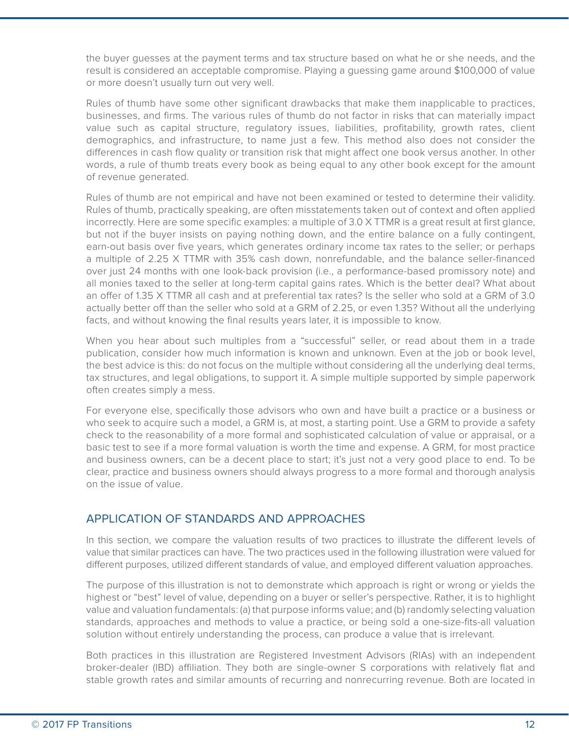the buyer guesses at the payment terms and tax structure based on what he or she needs, and the result is considered an acceptable compromise. Playing a guessing game around \$100,000 of value or more doesn't usually turn out very well.

Rules of thumb have some other significant drawbacks that make them inapplicable to practices, businesses, and firms. The various rules of thumb do not factor in risks that can materially impact value such as capital structure, regulatory issues, liabilities, profitability, growth rates, client demographics, and infrastructure, to name just a few. This method also does not consider the differences in cash flow quality or transition risk that might affect one book versus another. In other words, a rule of thumb treats every book as being equal to any other book except for the amount of revenue generated.

Rules of thumb are not empirical and have not been examined or tested to determine their validity. Rules of thumb, practically speaking, are often misstatements taken out of context and often applied incorrectly. Here are some specific examples: a multiple of 3.0 X TTMR is a great result at first glance, but not if the buyer insists on paying nothing down, and the entire balance on a fully contingent, earn-out basis over five years, which generates ordinary income tax rates to the seller; or perhaps a multiple of 2.25 X TTMR with 35% cash down, nonrefundable, and the balance seller-financed over just 24 months with one look-back provision (i.e., a performance-based promissory note) and all monies taxed to the seller at long-term capital gains rates. Which is the better deal? What about an offer of 1.35 X TTMR all cash and at preferential tax rates? Is the seller who sold at a GRM of 3.0 actually better off than the seller who sold at a GRM of 2.25, or even 1.35? Without all the underlying facts, and without knowing the final results years later, it is impossible to know.

When you hear about such multiples from a "successful" seller, or read about them in a trade publication, consider how much information is known and unknown. Even at the job or book level, the best advice is this: do not focus on the multiple without considering all the underlying deal terms, tax structures, and legal obligations, to support it. A simple multiple supported by simple paperwork often creates simply a mess.

For everyone else, specifically those advisors who own and have built a practice or a business or who seek to acquire such a model, a GRM is, at most, a starting point. Use a GRM to provide a safety check to the reasonability of a more formal and sophisticated calculation of value or appraisal, or a basic test to see if a more formal valuation is worth the time and expense. A GRM, for most practice and business owners, can be a decent place to start; it's just not a very good place to end. To be clear, practice and business owners should always progress to a more formal and thorough analysis on the issue of value.

# APPLICATION OF STANDARDS AND APPROACHES

In this section, we compare the valuation results of two practices to illustrate the different levels of value that similar practices can have. The two practices used in the following illustration were valued for different purposes, utilized different standards of value, and employed different valuation approaches.

The purpose of this illustration is not to demonstrate which approach is right or wrong or yields the highest or "best" level of value, depending on a buyer or seller's perspective. Rather, it is to highlight value and valuation fundamentals: (a) that purpose informs value; and (b) randomly selecting valuation standards, approaches and methods to value a practice, or being sold a one-size-fits-all valuation solution without entirely understanding the process, can produce a value that is irrelevant.

Both practices in this illustration are Registered Investment Advisors (RIAs) with an independent broker-dealer (IBD) affiliation. They both are single-owner S corporations with relatively flat and stable growth rates and similar amounts of recurring and nonrecurring revenue. Both are located in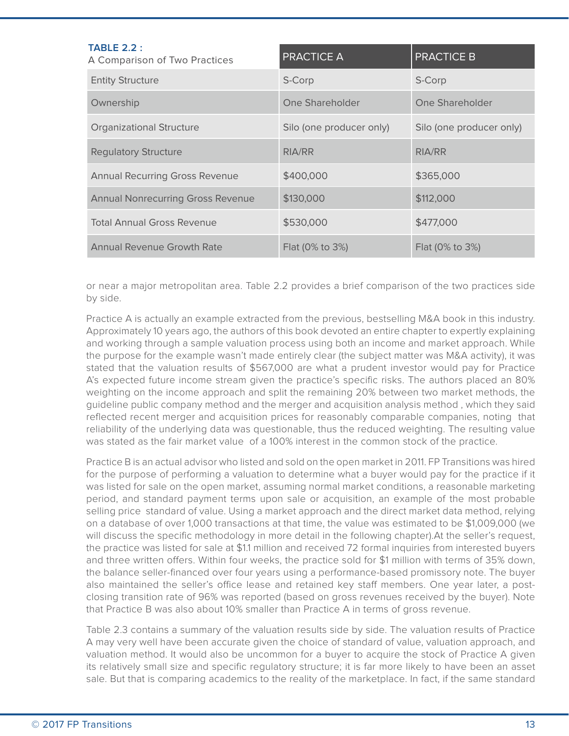| <b>TABLE 2.2:</b><br>A Comparison of Two Practices | <b>PRACTICE A</b>        | <b>PRACTICE B</b>        |
|----------------------------------------------------|--------------------------|--------------------------|
| <b>Entity Structure</b>                            | S-Corp                   | S-Corp                   |
| Ownership                                          | One Shareholder          | One Shareholder          |
| <b>Organizational Structure</b>                    | Silo (one producer only) | Silo (one producer only) |
| <b>Regulatory Structure</b>                        | RIA/RR                   | RIA/RR                   |
| <b>Annual Recurring Gross Revenue</b>              | \$400,000                | \$365,000                |
| <b>Annual Nonrecurring Gross Revenue</b>           | \$130,000                | \$112,000                |
| <b>Total Annual Gross Revenue</b>                  | \$530,000                | \$477,000                |
| <b>Annual Revenue Growth Rate</b>                  | Flat (0% to 3%)          | Flat (0% to 3%)          |

or near a major metropolitan area. Table 2.2 provides a brief comparison of the two practices side by side.

Practice A is actually an example extracted from the previous, bestselling M&A book in this industry. Approximately 10 years ago, the authors of this book devoted an entire chapter to expertly explaining and working through a sample valuation process using both an income and market approach. While the purpose for the example wasn't made entirely clear (the subject matter was M&A activity), it was stated that the valuation results of \$567,000 are what a prudent investor would pay for Practice A's expected future income stream given the practice's specific risks. The authors placed an 80% weighting on the income approach and split the remaining 20% between two market methods, the guideline public company method and the merger and acquisition analysis method , which they said reflected recent merger and acquisition prices for reasonably comparable companies, noting that reliability of the underlying data was questionable, thus the reduced weighting. The resulting value was stated as the fair market value of a 100% interest in the common stock of the practice.

Practice B is an actual advisor who listed and sold on the open market in 2011. FP Transitions was hired for the purpose of performing a valuation to determine what a buyer would pay for the practice if it was listed for sale on the open market, assuming normal market conditions, a reasonable marketing period, and standard payment terms upon sale or acquisition, an example of the most probable selling price standard of value. Using a market approach and the direct market data method, relying on a database of over 1,000 transactions at that time, the value was estimated to be \$1,009,000 (we will discuss the specific methodology in more detail in the following chapter).At the seller's request, the practice was listed for sale at \$1.1 million and received 72 formal inquiries from interested buyers and three written offers. Within four weeks, the practice sold for \$1 million with terms of 35% down, the balance seller-financed over four years using a performance-based promissory note. The buyer also maintained the seller's office lease and retained key staff members. One year later, a postclosing transition rate of 96% was reported (based on gross revenues received by the buyer). Note that Practice B was also about 10% smaller than Practice A in terms of gross revenue.

Table 2.3 contains a summary of the valuation results side by side. The valuation results of Practice A may very well have been accurate given the choice of standard of value, valuation approach, and valuation method. It would also be uncommon for a buyer to acquire the stock of Practice A given its relatively small size and specific regulatory structure; it is far more likely to have been an asset sale. But that is comparing academics to the reality of the marketplace. In fact, if the same standard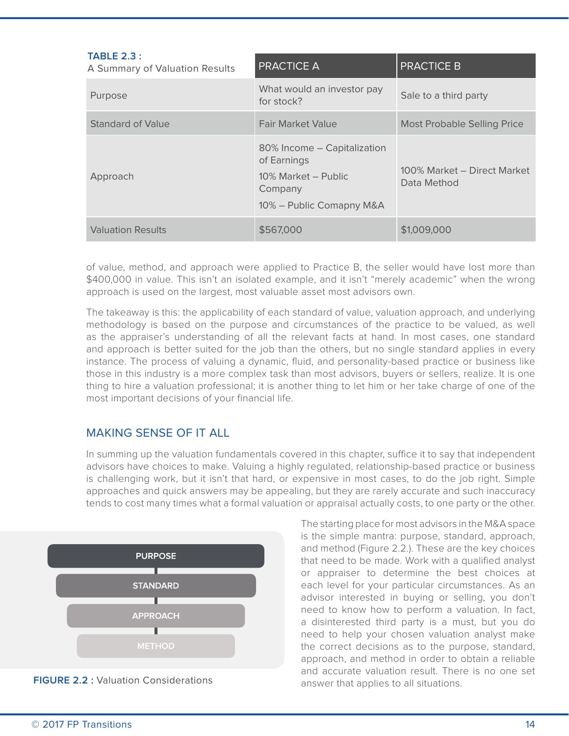| <b>TABLE 2.3:</b><br>A Summary of Valuation Results | <b>PRACTICE A</b>                                                                                        | <b>PRACTICE B</b>                          |
|-----------------------------------------------------|----------------------------------------------------------------------------------------------------------|--------------------------------------------|
| Purpose                                             | What would an investor pay<br>for stock?                                                                 | Sale to a third party                      |
| Standard of Value                                   | <b>Fair Market Value</b>                                                                                 | <b>Most Probable Selling Price</b>         |
| Approach                                            | 80% Income - Capitalization<br>of Earnings<br>10% Market - Public<br>Company<br>10% - Public Comapny M&A | 100% Market - Direct Market<br>Data Method |
| <b>Valuation Results</b>                            | \$567,000                                                                                                | \$1,009,000                                |

of value, method, and approach were applied to Practice B, the seller would have lost more than \$400,000 in value. This isn't an isolated example, and it isn't "merely academic" when the wrong approach is used on the largest, most valuable asset most advisors own.

The takeaway is this: the applicability of each standard of value, valuation approach, and underlying methodology is based on the purpose and circumstances of the practice to be valued, as well as the appraiser's understanding of all the relevant facts at hand. In most cases, one standard and approach is better suited for the job than the others, but no single standard applies in every instance. The process of valuing a dynamic, fluid, and personality-based practice or business like those in this industry is a more complex task than most advisors, buyers or sellers, realize. It is one thing to hire a valuation professional; it is another thing to let him or her take charge of one of the most important decisions of your financial life.

# MAKING SENSE OF IT ALL

In summing up the valuation fundamentals covered in this chapter, suffice it to say that independent advisors have choices to make. Valuing a highly regulated, relationship-based practice or business is challenging work, but it isn't that hard, or expensive in most cases, to do the job right. Simple approaches and quick answers may be appealing, but they are rarely accurate and such inaccuracy tends to cost many times what a formal valuation or appraisal actually costs, to one party or the other.



**FIGURE 2.2 :** Valuation Considerations

The starting place for most advisors in the M&A space is the simple mantra: purpose, standard, approach, and method (Figure 2.2.). These are the key choices that need to be made. Work with a qualified analyst or appraiser to determine the best choices at each level for your particular circumstances. As an advisor interested in buying or selling, you don't need to know how to perform a valuation. In fact, a disinterested third party is a must, but you do need to help your chosen valuation analyst make the correct decisions as to the purpose, standard, approach, and method in order to obtain a reliable and accurate valuation result. There is no one set answer that applies to all situations.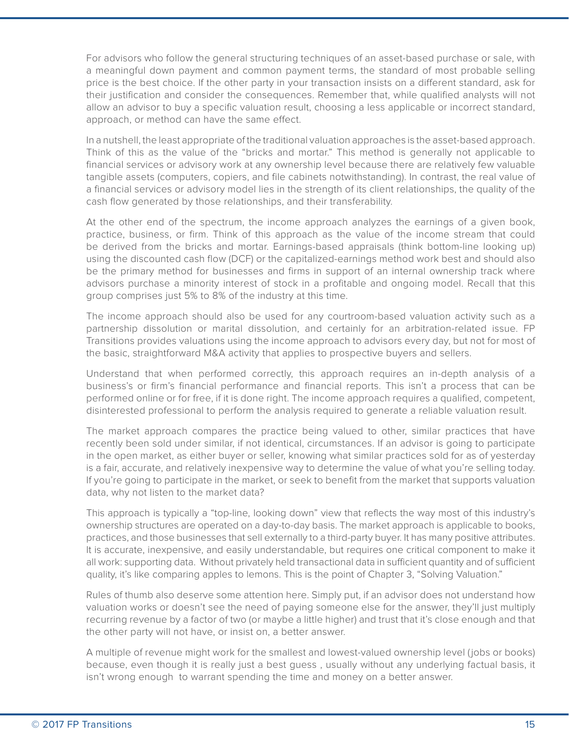For advisors who follow the general structuring techniques of an asset-based purchase or sale, with a meaningful down payment and common payment terms, the standard of most probable selling price is the best choice. If the other party in your transaction insists on a different standard, ask for their justification and consider the consequences. Remember that, while qualified analysts will not allow an advisor to buy a specific valuation result, choosing a less applicable or incorrect standard, approach, or method can have the same effect.

In a nutshell, the least appropriate of the traditional valuation approaches is the asset-based approach. Think of this as the value of the "bricks and mortar." This method is generally not applicable to financial services or advisory work at any ownership level because there are relatively few valuable tangible assets (computers, copiers, and file cabinets notwithstanding). In contrast, the real value of a financial services or advisory model lies in the strength of its client relationships, the quality of the cash flow generated by those relationships, and their transferability.

At the other end of the spectrum, the income approach analyzes the earnings of a given book, practice, business, or firm. Think of this approach as the value of the income stream that could be derived from the bricks and mortar. Earnings-based appraisals (think bottom-line looking up) using the discounted cash flow (DCF) or the capitalized-earnings method work best and should also be the primary method for businesses and firms in support of an internal ownership track where advisors purchase a minority interest of stock in a profitable and ongoing model. Recall that this group comprises just 5% to 8% of the industry at this time.

The income approach should also be used for any courtroom-based valuation activity such as a partnership dissolution or marital dissolution, and certainly for an arbitration-related issue. FP Transitions provides valuations using the income approach to advisors every day, but not for most of the basic, straightforward M&A activity that applies to prospective buyers and sellers.

Understand that when performed correctly, this approach requires an in-depth analysis of a business's or firm's financial performance and financial reports. This isn't a process that can be performed online or for free, if it is done right. The income approach requires a qualified, competent, disinterested professional to perform the analysis required to generate a reliable valuation result.

The market approach compares the practice being valued to other, similar practices that have recently been sold under similar, if not identical, circumstances. If an advisor is going to participate in the open market, as either buyer or seller, knowing what similar practices sold for as of yesterday is a fair, accurate, and relatively inexpensive way to determine the value of what you're selling today. If you're going to participate in the market, or seek to benefit from the market that supports valuation data, why not listen to the market data?

This approach is typically a "top-line, looking down" view that reflects the way most of this industry's ownership structures are operated on a day-to-day basis. The market approach is applicable to books, practices, and those businesses that sell externally to a third-party buyer. It has many positive attributes. It is accurate, inexpensive, and easily understandable, but requires one critical component to make it all work: supporting data. Without privately held transactional data in sufficient quantity and of sufficient quality, it's like comparing apples to lemons. This is the point of Chapter 3, "Solving Valuation."

Rules of thumb also deserve some attention here. Simply put, if an advisor does not understand how valuation works or doesn't see the need of paying someone else for the answer, they'll just multiply recurring revenue by a factor of two (or maybe a little higher) and trust that it's close enough and that the other party will not have, or insist on, a better answer.

A multiple of revenue might work for the smallest and lowest-valued ownership level (jobs or books) because, even though it is really just a best guess , usually without any underlying factual basis, it isn't wrong enough to warrant spending the time and money on a better answer.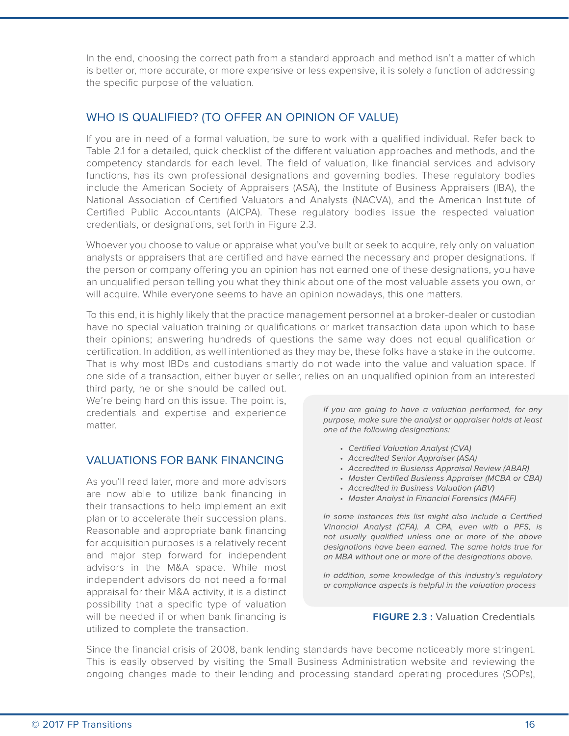In the end, choosing the correct path from a standard approach and method isn't a matter of which is better or, more accurate, or more expensive or less expensive, it is solely a function of addressing the specific purpose of the valuation.

# WHO IS QUALIFIED? (TO OFFER AN OPINION OF VALUE)

If you are in need of a formal valuation, be sure to work with a qualified individual. Refer back to Table 2.1 for a detailed, quick checklist of the different valuation approaches and methods, and the competency standards for each level. The field of valuation, like financial services and advisory functions, has its own professional designations and governing bodies. These regulatory bodies include the American Society of Appraisers (ASA), the Institute of Business Appraisers (IBA), the National Association of Certified Valuators and Analysts (NACVA), and the American Institute of Certified Public Accountants (AICPA). These regulatory bodies issue the respected valuation credentials, or designations, set forth in Figure 2.3.

Whoever you choose to value or appraise what you've built or seek to acquire, rely only on valuation analysts or appraisers that are certified and have earned the necessary and proper designations. If the person or company offering you an opinion has not earned one of these designations, you have an unqualified person telling you what they think about one of the most valuable assets you own, or will acquire. While everyone seems to have an opinion nowadays, this one matters.

To this end, it is highly likely that the practice management personnel at a broker-dealer or custodian have no special valuation training or qualifications or market transaction data upon which to base their opinions; answering hundreds of questions the same way does not equal qualification or certification. In addition, as well intentioned as they may be, these folks have a stake in the outcome. That is why most IBDs and custodians smartly do not wade into the value and valuation space. If one side of a transaction, either buyer or seller, relies on an unqualified opinion from an interested

third party, he or she should be called out. We're being hard on this issue. The point is, credentials and expertise and experience matter.

### VALUATIONS FOR BANK FINANCING

As you'll read later, more and more advisors are now able to utilize bank financing in their transactions to help implement an exit plan or to accelerate their succession plans. Reasonable and appropriate bank financing for acquisition purposes is a relatively recent and major step forward for independent advisors in the M&A space. While most independent advisors do not need a formal appraisal for their M&A activity, it is a distinct possibility that a specific type of valuation will be needed if or when bank financing is utilized to complete the transaction.

*If you are going to have a valuation performed, for any purpose, make sure the analyst or appraiser holds at least one of the following designations:*

- *• Certified Valuation Analyst (CVA)*
- *• Accredited Senior Appraiser (ASA)*
- *• Accredited in Busienss Appraisal Review (ABAR)*
- *• Master Certified Busienss Appraiser (MCBA or CBA)*
- *• Accredited in Business Valuation (ABV)*
- *• Master Analyst in Financial Forensics (MAFF)*

*In some instances this list might also include a Certified Vinancial Analyst (CFA). A CPA, even with a PFS, is not usually qualified unless one or more of the above designations have been earned. The same holds true for an MBA without one or more of the designations above.*

*In addition, some knowledge of this industry's regulatory or compliance aspects is helpful in the valuation process*

#### **FIGURE 2.3 :** Valuation Credentials

Since the financial crisis of 2008, bank lending standards have become noticeably more stringent. This is easily observed by visiting the Small Business Administration website and reviewing the ongoing changes made to their lending and processing standard operating procedures (SOPs),